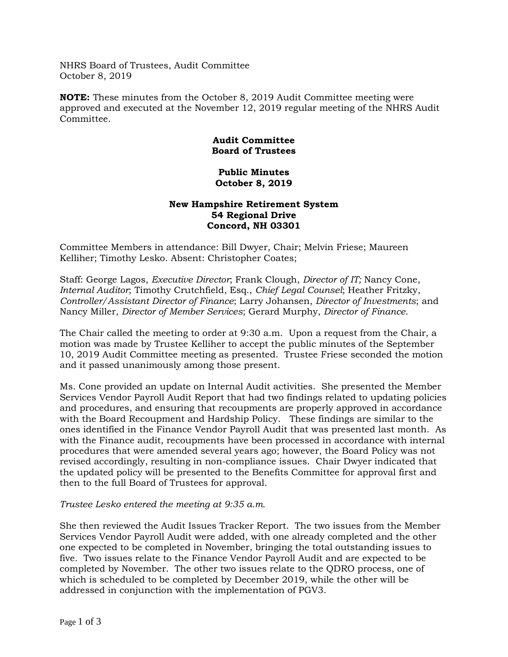NHRS Board of Trustees, Audit Committee October 8, 2019

**NOTE:** These minutes from the October 8, 2019 Audit Committee meeting were approved and executed at the November 12, 2019 regular meeting of the NHRS Audit Committee.

## **Audit Committee Board of Trustees**

## **Public Minutes October 8, 2019**

## **New Hampshire Retirement System 54 Regional Drive Concord, NH 03301**

Committee Members in attendance: Bill Dwyer, Chair; Melvin Friese; Maureen Kelliher; Timothy Lesko. Absent: Christopher Coates;

Staff: George Lagos, *Executive Director*; Frank Clough, *Director of IT;* Nancy Cone, *Internal Auditor*; Timothy Crutchfield, Esq., *Chief Legal Counsel*; Heather Fritzky, *Controller/Assistant Director of Finance*; Larry Johansen, *Director of Investments*; and Nancy Miller, *Director of Member Services*; Gerard Murphy, *Director of Finance*.

The Chair called the meeting to order at 9:30 a.m. Upon a request from the Chair, a motion was made by Trustee Kelliher to accept the public minutes of the September 10, 2019 Audit Committee meeting as presented. Trustee Friese seconded the motion and it passed unanimously among those present.

Ms. Cone provided an update on Internal Audit activities. She presented the Member Services Vendor Payroll Audit Report that had two findings related to updating policies and procedures, and ensuring that recoupments are properly approved in accordance with the Board Recoupment and Hardship Policy. These findings are similar to the ones identified in the Finance Vendor Payroll Audit that was presented last month. As with the Finance audit, recoupments have been processed in accordance with internal procedures that were amended several years ago; however, the Board Policy was not revised accordingly, resulting in non-compliance issues. Chair Dwyer indicated that the updated policy will be presented to the Benefits Committee for approval first and then to the full Board of Trustees for approval.

## *Trustee Lesko entered the meeting at 9:35 a.m.*

She then reviewed the Audit Issues Tracker Report. The two issues from the Member Services Vendor Payroll Audit were added, with one already completed and the other one expected to be completed in November, bringing the total outstanding issues to five. Two issues relate to the Finance Vendor Payroll Audit and are expected to be completed by November. The other two issues relate to the QDRO process, one of which is scheduled to be completed by December 2019, while the other will be addressed in conjunction with the implementation of PGV3.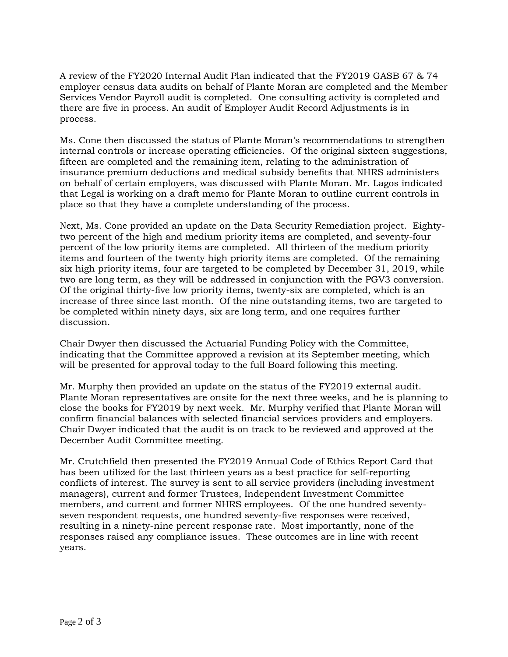A review of the FY2020 Internal Audit Plan indicated that the FY2019 GASB 67 & 74 employer census data audits on behalf of Plante Moran are completed and the Member Services Vendor Payroll audit is completed. One consulting activity is completed and there are five in process. An audit of Employer Audit Record Adjustments is in process.

Ms. Cone then discussed the status of Plante Moran's recommendations to strengthen internal controls or increase operating efficiencies. Of the original sixteen suggestions, fifteen are completed and the remaining item, relating to the administration of insurance premium deductions and medical subsidy benefits that NHRS administers on behalf of certain employers, was discussed with Plante Moran. Mr. Lagos indicated that Legal is working on a draft memo for Plante Moran to outline current controls in place so that they have a complete understanding of the process.

Next, Ms. Cone provided an update on the Data Security Remediation project. Eightytwo percent of the high and medium priority items are completed, and seventy-four percent of the low priority items are completed. All thirteen of the medium priority items and fourteen of the twenty high priority items are completed. Of the remaining six high priority items, four are targeted to be completed by December 31, 2019, while two are long term, as they will be addressed in conjunction with the PGV3 conversion. Of the original thirty-five low priority items, twenty-six are completed, which is an increase of three since last month. Of the nine outstanding items, two are targeted to be completed within ninety days, six are long term, and one requires further discussion.

Chair Dwyer then discussed the Actuarial Funding Policy with the Committee, indicating that the Committee approved a revision at its September meeting, which will be presented for approval today to the full Board following this meeting.

Mr. Murphy then provided an update on the status of the FY2019 external audit. Plante Moran representatives are onsite for the next three weeks, and he is planning to close the books for FY2019 by next week. Mr. Murphy verified that Plante Moran will confirm financial balances with selected financial services providers and employers. Chair Dwyer indicated that the audit is on track to be reviewed and approved at the December Audit Committee meeting.

Mr. Crutchfield then presented the FY2019 Annual Code of Ethics Report Card that has been utilized for the last thirteen years as a best practice for self-reporting conflicts of interest. The survey is sent to all service providers (including investment managers), current and former Trustees, Independent Investment Committee members, and current and former NHRS employees. Of the one hundred seventyseven respondent requests, one hundred seventy-five responses were received, resulting in a ninety-nine percent response rate. Most importantly, none of the responses raised any compliance issues. These outcomes are in line with recent years.